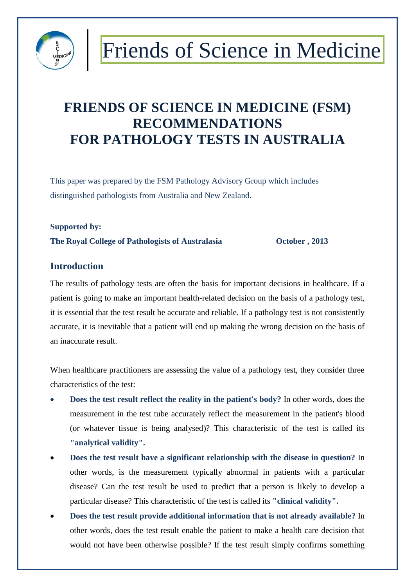

### **FRIENDS OF SCIENCE IN MEDICINE (FSM) RECOMMENDATIONS FOR PATHOLOGY TESTS IN AUSTRALIA**

This paper was prepared by the FSM Pathology Advisory Group which includes distinguished pathologists from Australia and New Zealand.

#### **Supported by:**

**The Royal College of Pathologists of Australasia October , 2013**

#### **Introduction**

The results of pathology tests are often the basis for important decisions in healthcare. If a patient is going to make an important health-related decision on the basis of a pathology test, it is essential that the test result be accurate and reliable. If a pathology test is not consistently accurate, it is inevitable that a patient will end up making the wrong decision on the basis of an inaccurate result.

When healthcare practitioners are assessing the value of a pathology test, they consider three characteristics of the test:

- **Does the test result reflect the reality in the patient's body?** In other words, does the measurement in the test tube accurately reflect the measurement in the patient's blood (or whatever tissue is being analysed)? This characteristic of the test is called its **"analytical validity".**
- **Does the test result have a significant relationship with the disease in question?** In other words, is the measurement typically abnormal in patients with a particular disease? Can the test result be used to predict that a person is likely to develop a particular disease? This characteristic of the test is called its **"clinical validity".**
- **Does the test result provide additional information that is not already available?** In other words, does the test result enable the patient to make a health care decision that would not have been otherwise possible? If the test result simply confirms something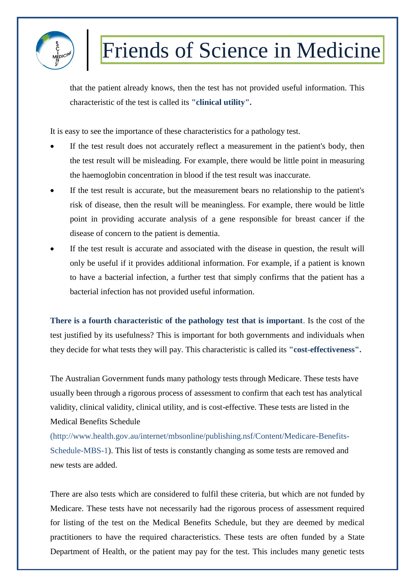

that the patient already knows, then the test has not provided useful information. This characteristic of the test is called its **"clinical utility".**

It is easy to see the importance of these characteristics for a pathology test.

- If the test result does not accurately reflect a measurement in the patient's body, then the test result will be misleading. For example, there would be little point in measuring the haemoglobin concentration in blood if the test result was inaccurate.
- If the test result is accurate, but the measurement bears no relationship to the patient's risk of disease, then the result will be meaningless. For example, there would be little point in providing accurate analysis of a gene responsible for breast cancer if the disease of concern to the patient is dementia.
- If the test result is accurate and associated with the disease in question, the result will only be useful if it provides additional information. For example, if a patient is known to have a bacterial infection, a further test that simply confirms that the patient has a bacterial infection has not provided useful information.

**There is a fourth characteristic of the pathology test that is important**. Is the cost of the test justified by its usefulness? This is important for both governments and individuals when they decide for what tests they will pay. This characteristic is called its **"cost-effectiveness".**

The Australian Government funds many pathology tests through Medicare. These tests have usually been through a rigorous process of assessment to confirm that each test has analytical validity, clinical validity, clinical utility, and is cost-effective. These tests are listed in the Medical Benefits Schedule

(http://www.health.gov.au/internet/mbsonline/publishing.nsf/Content/Medicare-Benefits-Schedule-MBS-1). This list of tests is constantly changing as some tests are removed and new tests are added.

There are also tests which are considered to fulfil these criteria, but which are not funded by Medicare. These tests have not necessarily had the rigorous process of assessment required for listing of the test on the Medical Benefits Schedule, but they are deemed by medical practitioners to have the required characteristics. These tests are often funded by a State Department of Health, or the patient may pay for the test. This includes many genetic tests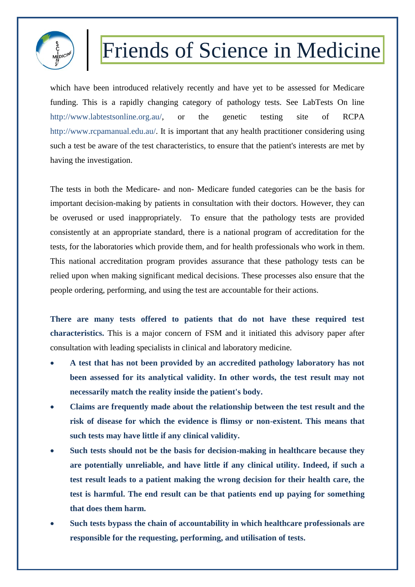

which have been introduced relatively recently and have yet to be assessed for Medicare funding. This is a rapidly changing category of pathology tests. See LabTests On line http://www.labtestsonline.org.au/, or the genetic testing site of RCPA http://www.rcpamanual.edu.au/. It is important that any health practitioner considering using such a test be aware of the test characteristics, to ensure that the patient's interests are met by having the investigation.

The tests in both the Medicare- and non- Medicare funded categories can be the basis for important decision-making by patients in consultation with their doctors. However, they can be overused or used inappropriately. To ensure that the pathology tests are provided consistently at an appropriate standard, there is a national program of accreditation for the tests, for the laboratories which provide them, and for health professionals who work in them. This national accreditation program provides assurance that these pathology tests can be relied upon when making significant medical decisions. These processes also ensure that the people ordering, performing, and using the test are accountable for their actions.

**There are many tests offered to patients that do not have these required test characteristics.** This is a major concern of FSM and it initiated this advisory paper after consultation with leading specialists in clinical and laboratory medicine.

- **A test that has not been provided by an accredited pathology laboratory has not been assessed for its analytical validity. In other words, the test result may not necessarily match the reality inside the patient's body.**
- **Claims are frequently made about the relationship between the test result and the risk of disease for which the evidence is flimsy or non-existent. This means that such tests may have little if any clinical validity.**
- **Such tests should not be the basis for decision-making in healthcare because they are potentially unreliable, and have little if any clinical utility. Indeed, if such a test result leads to a patient making the wrong decision for their health care, the test is harmful. The end result can be that patients end up paying for something that does them harm.**
- **Such tests bypass the chain of accountability in which healthcare professionals are responsible for the requesting, performing, and utilisation of tests.**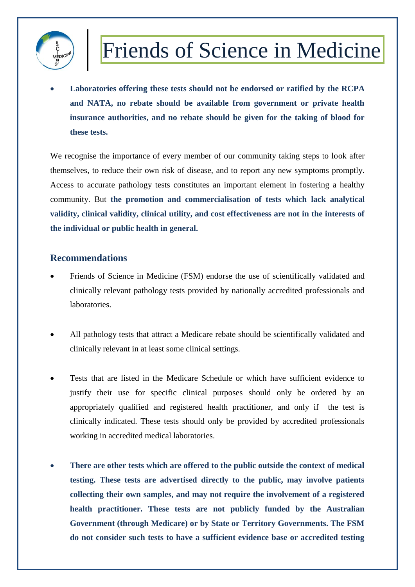

 **Laboratories offering these tests should not be endorsed or ratified by the RCPA and NATA, no rebate should be available from government or private health insurance authorities, and no rebate should be given for the taking of blood for these tests.**

We recognise the importance of every member of our community taking steps to look after themselves, to reduce their own risk of disease, and to report any new symptoms promptly. Access to accurate pathology tests constitutes an important element in fostering a healthy community. But **the promotion and commercialisation of tests which lack analytical validity, clinical validity, clinical utility, and cost effectiveness are not in the interests of the individual or public health in general.**

#### **Recommendations**

- Friends of Science in Medicine (FSM) endorse the use of scientifically validated and clinically relevant pathology tests provided by nationally accredited professionals and laboratories.
- All pathology tests that attract a Medicare rebate should be scientifically validated and clinically relevant in at least some clinical settings.
- Tests that are listed in the Medicare Schedule or which have sufficient evidence to justify their use for specific clinical purposes should only be ordered by an appropriately qualified and registered health practitioner, and only if the test is clinically indicated. These tests should only be provided by accredited professionals working in accredited medical laboratories.
- **There are other tests which are offered to the public outside the context of medical testing. These tests are advertised directly to the public, may involve patients collecting their own samples, and may not require the involvement of a registered health practitioner. These tests are not publicly funded by the Australian Government (through Medicare) or by State or Territory Governments. The FSM do not consider such tests to have a sufficient evidence base or accredited testing**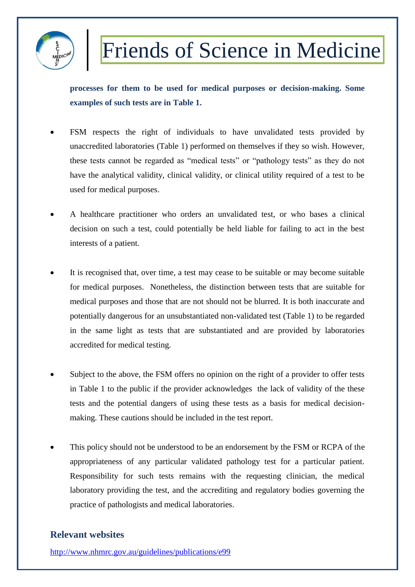

**processes for them to be used for medical purposes or decision-making. Some examples of such tests are in Table 1.**

- FSM respects the right of individuals to have unvalidated tests provided by unaccredited laboratories (Table 1) performed on themselves if they so wish. However, these tests cannot be regarded as "medical tests" or "pathology tests" as they do not have the analytical validity, clinical validity, or clinical utility required of a test to be used for medical purposes.
- A healthcare practitioner who orders an unvalidated test, or who bases a clinical decision on such a test, could potentially be held liable for failing to act in the best interests of a patient.
- It is recognised that, over time, a test may cease to be suitable or may become suitable for medical purposes. Nonetheless, the distinction between tests that are suitable for medical purposes and those that are not should not be blurred. It is both inaccurate and potentially dangerous for an unsubstantiated non-validated test (Table 1) to be regarded in the same light as tests that are substantiated and are provided by laboratories accredited for medical testing.
- Subject to the above, the FSM offers no opinion on the right of a provider to offer tests in Table 1 to the public if the provider acknowledges the lack of validity of the these tests and the potential dangers of using these tests as a basis for medical decisionmaking. These cautions should be included in the test report.
- This policy should not be understood to be an endorsement by the FSM or RCPA of the appropriateness of any particular validated pathology test for a particular patient. Responsibility for such tests remains with the requesting clinician, the medical laboratory providing the test, and the accrediting and regulatory bodies governing the practice of pathologists and medical laboratories.

#### **Relevant websites**

<http://www.nhmrc.gov.au/guidelines/publications/e99>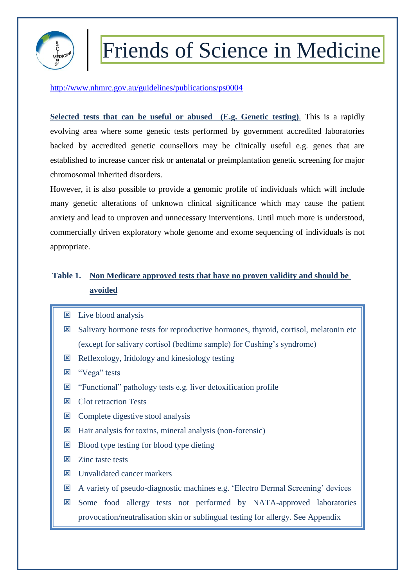

<http://www.nhmrc.gov.au/guidelines/publications/ps0004>

**Selected tests that can be useful or abused (E.g. Genetic testing)**. This is a rapidly evolving area where some genetic tests performed by government accredited laboratories backed by accredited genetic counsellors may be clinically useful e.g. genes that are established to increase cancer risk or antenatal or preimplantation genetic screening for major chromosomal inherited disorders.

However, it is also possible to provide a genomic profile of individuals which will include many genetic alterations of unknown clinical significance which may cause the patient anxiety and lead to unproven and unnecessary interventions. Until much more is understood, commercially driven exploratory whole genome and exome sequencing of individuals is not appropriate.

#### **Table 1. Non Medicare approved tests that have no proven validity and should be avoided**

- **E** Live blood analysis
- $\boxtimes$  Salivary hormone tests for reproductive hormones, thyroid, cortisol, melatonin etc (except for salivary cortisol (bedtime sample) for Cushing's syndrome)
- $\boxtimes$  Reflexology, Iridology and kinesiology testing
- **E** "Vega" tests
- $\boxtimes$  "Functional" pathology tests e.g. liver detoxification profile
- **E** Clot retraction Tests
- $\boxtimes$  Complete digestive stool analysis
- $\boxtimes$  Hair analysis for toxins, mineral analysis (non-forensic)
- $\boxtimes$  Blood type testing for blood type dieting
- $\overline{\mathbf{x}}$  Zinc taste tests
- **EX** Unvalidated cancer markers
- A variety of pseudo-diagnostic machines e.g. 'Electro Dermal Screening' devices
- Some food allergy tests not performed by NATA-approved laboratories provocation/neutralisation skin or sublingual testing for allergy. See Appendix